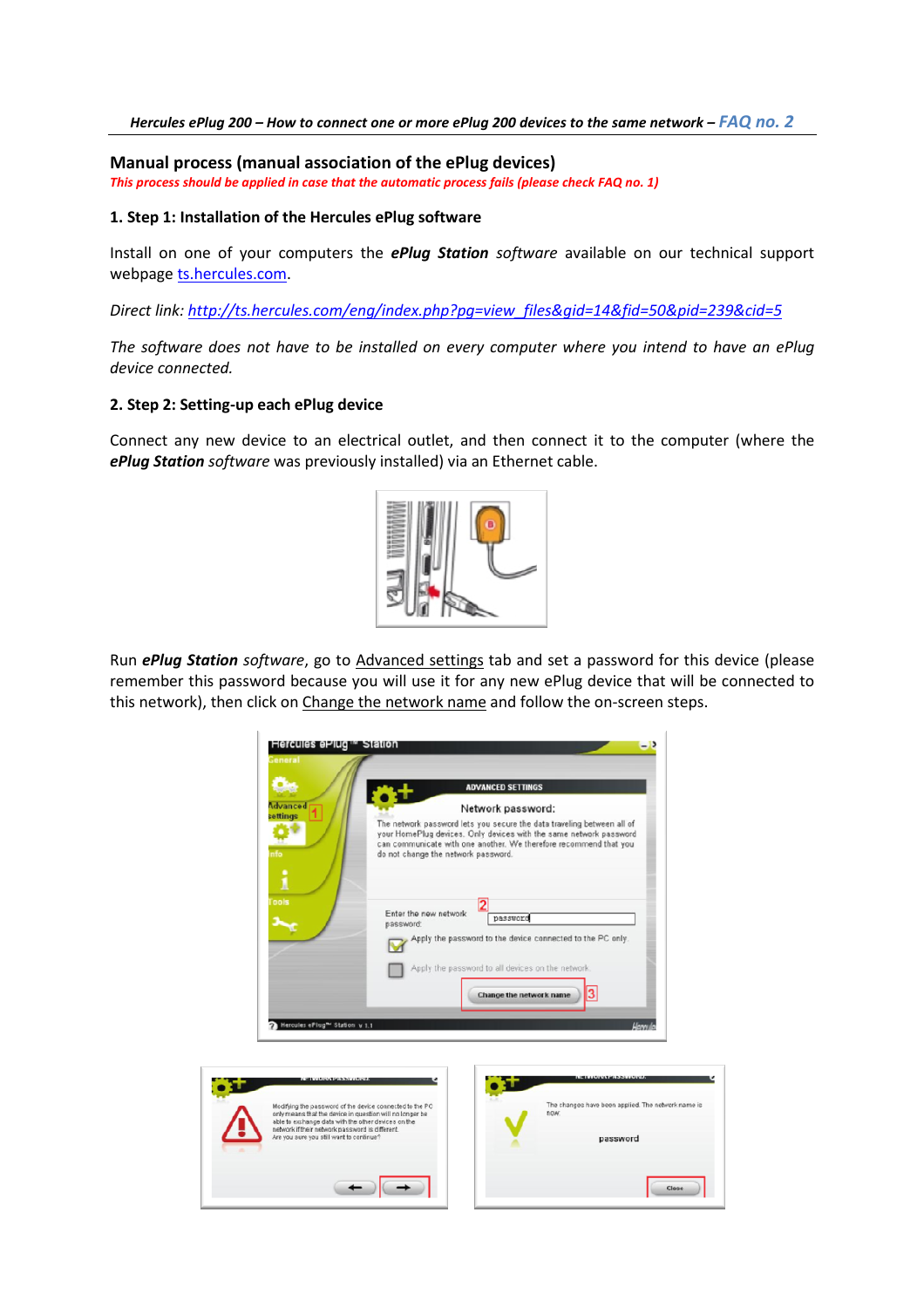## Hercules ePlug 200 – How to connect one or more ePlug 200 devices to the same network – FAQ no. 2

Manual process (manual association of the ePlug devices) This process should be applied in case that the automatic process fails (please check FAQ no. 1)

## 1. Step 1: Installation of the Hercules ePlug software

Install on one of your computers the **ePlug Station** software available on our technical support webpage ts.hercules.com.

Direct link: http://ts.hercules.com/eng/index.php?pg=view\_files&gid=14&fid=50&pid=239&cid=5

The software does not have to be installed on every computer where you intend to have an ePlug device connected.

## 2. Step 2: Setting-up each ePlug device

Connect any new device to an electrical outlet, and then connect it to the computer (where the ePlug Station software was previously installed) via an Ethernet cable.



Run ePlug Station software, go to Advanced settings tab and set a password for this device (please remember this password because you will use it for any new ePlug device that will be connected to this network), then click on Change the network name and follow the on-screen steps.